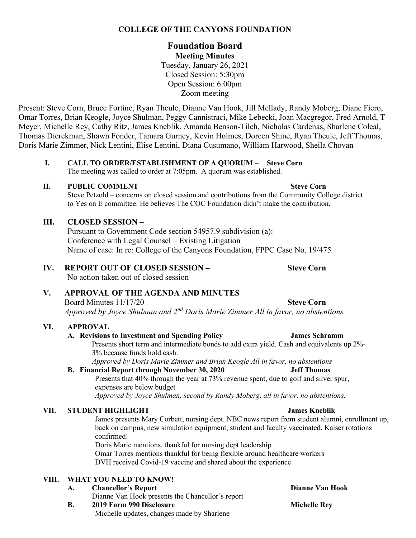# **COLLEGE OF THE CANYONS FOUNDATION**

# **Foundation Board Meeting Minutes**

Tuesday, January 26, 2021 Closed Session: 5:30pm Open Session: 6:00pm Zoom meeting

Present: Steve Corn, Bruce Fortine, Ryan Theule, Dianne Van Hook, Jill Mellady, Randy Moberg, Diane Fiero, Omar Torres, Brian Keogle, Joyce Shulman, Peggy Cannistraci, Mike Lebecki, Joan Macgregor, Fred Arnold, T Meyer, Michelle Rey, Cathy Ritz, James Kneblik, Amanda Benson-Tilch, Nicholas Cardenas, Sharlene Coleal, Thomas Dierckman, Shawn Fonder, Tamara Gurney, Kevin Holmes, Doreen Shine, Ryan Theule, Jeff Thomas, Doris Marie Zimmer, Nick Lentini, Elise Lentini, Diana Cusumano, William Harwood, Sheila Chovan

#### **I. CALL TO ORDER/ESTABLISHMENT OF A QUORUM – Steve Corn**  The meeting was called to order at 7:05pm. A quorum was established.

#### **II.** PUBLIC COMMENT Steve Corn

 Steve Petzold – concerns on closed session and contributions from the Community College district to Yes on E committee. He believes The COC Foundation didn't make the contribution.

# **III. CLOSED SESSION –**

Pursuant to Government Code section 54957.9 subdivision (a): Conference with Legal Counsel – Existing Litigation Name of case: In re: College of the Canyons Foundation, FPPC Case No. 19/475

### **IV. REPORT OUT OF CLOSED SESSION – Steve Corn**

No action taken out of closed session

# **V. APPROVAL OF THE AGENDA AND MINUTES**

Board Minutes 11/17/20 **Steve Corn**  *Approved by Joyce Shulman and 2nd Doris Marie Zimmer All in favor, no abstentions* 

# **VI. APPROVAL**

#### A. Revisions to Investment and Spending Policy

Presents short term and intermediate bonds to add extra yield. Cash and equivalents up 2%- 3% because funds hold cash.

*Approved by Doris Marie Zimmer and Brian Keogle All in favor, no abstentions* 

#### **B. Financial Report through November 30, 2020 Jeff Thomas**

 expenses are below budget Presents that 40% through the year at 73% revenue spent, due to golf and silver spur,

*Approved by Joyce Shulman, second by Randy Moberg, all in favor, no abstentions.* 

# **VII.** STUDENT HIGHLIGHT **STUDENT HIGHLIGHT James Kneblik**

 James presents Mary Corbett, nursing dept. NBC news report from student alumni, enrollment up, back on campus, new simulation equipment, student and faculty vaccinated, Kaiser rotations confirmed!

 Omar Torres mentions thankful for being flexible around healthcare workers Doris Marie mentions, thankful for nursing dept leadership DVH received Covid-19 vaccine and shared about the experience

# **VIII. WHAT YOU NEED TO KNOW!**

**Dianne Van Hook**  Dianne Van Hook presents the Chancellor's report **A.** Chancellor's Report **B.** 2019 Form 990 Disclosure Michelle Rey

Michelle updates, changes made by Sharlene

**James Schramm**